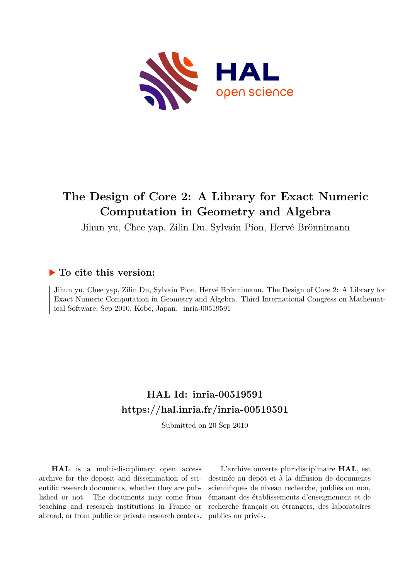

# **The Design of Core 2: A Library for Exact Numeric Computation in Geometry and Algebra**

Jihun yu, Chee yap, Zilin Du, Sylvain Pion, Hervé Brönnimann

# **To cite this version:**

Jihun yu, Chee yap, Zilin Du, Sylvain Pion, Hervé Brönnimann. The Design of Core 2: A Library for Exact Numeric Computation in Geometry and Algebra. Third International Congress on Mathematical Software, Sep 2010, Kobe, Japan. inria-00519591

# **HAL Id: inria-00519591 <https://hal.inria.fr/inria-00519591>**

Submitted on 20 Sep 2010

**HAL** is a multi-disciplinary open access archive for the deposit and dissemination of scientific research documents, whether they are published or not. The documents may come from teaching and research institutions in France or abroad, or from public or private research centers.

L'archive ouverte pluridisciplinaire **HAL**, est destinée au dépôt et à la diffusion de documents scientifiques de niveau recherche, publiés ou non, émanant des établissements d'enseignement et de recherche français ou étrangers, des laboratoires publics ou privés.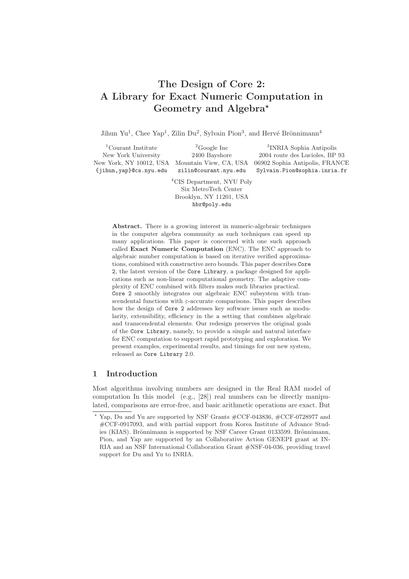# The Design of Core 2: A Library for Exact Numeric Computation in Geometry and Algebra<sup>\*</sup>

Jihun Yu<sup>1</sup>, Chee Yap<sup>1</sup>, Zilin Du<sup>2</sup>, Sylvain Pion<sup>3</sup>, and Hervé Brönnimann<sup>4</sup>

| <sup>1</sup> Courant Institute                 | ${}^{2}$ Google Inc   | <sup>3</sup> INRIA Sophia Antipolis |
|------------------------------------------------|-----------------------|-------------------------------------|
| New York University                            | 2400 Bayshore         | 2004 route des Lucioles, BP 93      |
| New York, NY 10012, USA Mountain View, CA, USA |                       | 06902 Sophia Antipolis, FRANCE      |
| {jihun,yap}@cs.nyu.edu                         | zilin@courant.nyu.edu | Sylvain. Pion@sophia. inria.fr      |
|                                                |                       |                                     |

<sup>4</sup>CIS Department, NYU Poly Six MetroTech Center Brooklyn, NY 11201, USA hbr@poly.edu

Abstract. There is a growing interest in numeric-algebraic techniques in the computer algebra community as such techniques can speed up many applications. This paper is concerned with one such approach called Exact Numeric Computation (ENC). The ENC approach to algebraic number computation is based on iterative verified approximations, combined with constructive zero bounds. This paper describes Core 2, the latest version of the Core Library, a package designed for applications such as non-linear computational geometry. The adaptive complexity of ENC combined with filters makes such libraries practical. Core 2 smoothly integrates our algebraic ENC subsystem with transcendental functions with  $\varepsilon$ -accurate comparisons. This paper describes how the design of Core 2 addresses key software issues such as modularity, extensibility, efficiency in the a setting that combines algebraic and transcendental elements. Our redesign preserves the original goals of the Core Library, namely, to provide a simple and natural interface for ENC computation to support rapid prototyping and exploration. We present examples, experimental results, and timings for our new system, released as Core Library 2.0.

#### 1 Introduction

Most algorithms involving numbers are designed in the Real RAM model of computation In this model (e.g., [28]) real numbers can be directly manipulated, comparisons are error-free, and basic arithmetic operations are exact. But

Yap, Du and Yu are supported by NSF Grants  $\#CCF-043836$ ,  $\#CCF-0728977$  and #CCF-0917093, and with partial support from Korea Institute of Advance Studies (KIAS). Brönnimann is supported by NSF Career Grant 0133599. Brönnimann, Pion, and Yap are supported by an Collaborative Action GENEPI grant at IN-RIA and an NSF International Collaboration Grant #NSF-04-036, providing travel support for Du and Yu to INRIA.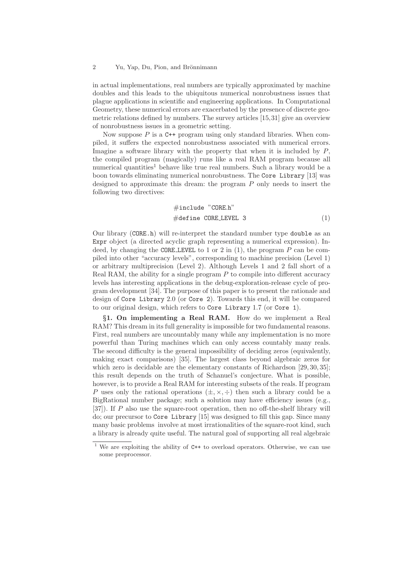in actual implementations, real numbers are typically approximated by machine doubles and this leads to the ubiquitous numerical nonrobustness issues that plague applications in scientific and engineering applications. In Computational Geometry, these numerical errors are exacerbated by the presence of discrete geometric relations defined by numbers. The survey articles [15,31] give an overview of nonrobustness issues in a geometric setting.

Now suppose  $P$  is a  $C++$  program using only standard libraries. When compiled, it suffers the expected nonrobustness associated with numerical errors. Imagine a software library with the property that when it is included by  $P$ , the compiled program (magically) runs like a real RAM program because all numerical quantities<sup>1</sup> behave like true real numbers. Such a library would be a boon towards eliminating numerical nonrobustness. The Core Library [13] was designed to approximate this dream: the program  $P$  only needs to insert the following two directives:

$$
\#include "CORE.h" \n\#define CORELEVEL 3 \t(1)
$$

Our library (CORE.h) will re-interpret the standard number type double as an Expr object (a directed acyclic graph representing a numerical expression). Indeed, by changing the CORE LEVEL to 1 or 2 in  $(1)$ , the program P can be compiled into other "accuracy levels", corresponding to machine precision (Level 1) or arbitrary multiprecision (Level 2). Although Levels 1 and 2 fall short of a Real RAM, the ability for a single program  $P$  to compile into different accuracy levels has interesting applications in the debug-exploration-release cycle of program development [34]. The purpose of this paper is to present the rationale and design of Core Library 2.0 (or Core 2). Towards this end, it will be compared to our original design, which refers to Core Library 1.7 (or Core 1).

§1. On implementing a Real RAM. How do we implement a Real RAM? This dream in its full generality is impossible for two fundamental reasons. First, real numbers are uncountably many while any implementation is no more powerful than Turing machines which can only access countably many reals. The second difficulty is the general impossibility of deciding zeros (equivalently, making exact comparisons) [35]. The largest class beyond algebraic zeros for which zero is decidable are the elementary constants of Richardson [29, 30, 35]; this result depends on the truth of Schanuel's conjecture. What is possible, however, is to provide a Real RAM for interesting subsets of the reals. If program P uses only the rational operations  $(\pm, \times, \div)$  then such a library could be a BigRational number package; such a solution may have efficiency issues (e.g., [37]). If P also use the square-root operation, then no off-the-shelf library will do; our precursor to Core Library [15] was designed to fill this gap. Since many many basic problems involve at most irrationalities of the square-root kind, such a library is already quite useful. The natural goal of supporting all real algebraic

<sup>1</sup> We are exploiting the ability of C++ to overload operators. Otherwise, we can use some preprocessor.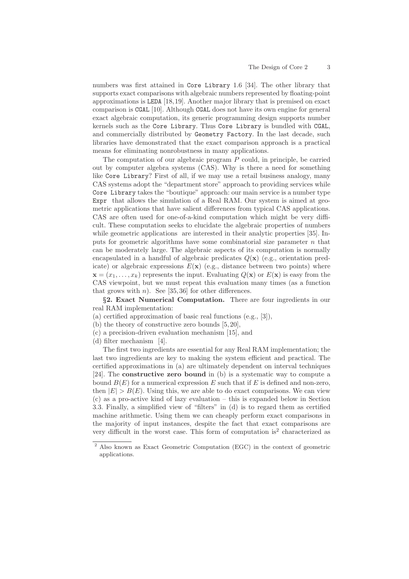numbers was first attained in Core Library 1.6 [34]. The other library that supports exact comparisons with algebraic numbers represented by floating-point approximations is LEDA [18,19]. Another major library that is premised on exact comparison is CGAL [10]. Although CGAL does not have its own engine for general exact algebraic computation, its generic programming design supports number kernels such as the Core Library. Thus Core Library is bundled with CGAL, and commercially distributed by Geometry Factory. In the last decade, such libraries have demonstrated that the exact comparison approach is a practical means for eliminating nonrobustness in many applications.

The computation of our algebraic program P could, in principle, be carried out by computer algebra systems (CAS). Why is there a need for something like Core Library? First of all, if we may use a retail business analogy, many CAS systems adopt the "department store" approach to providing services while Core Library takes the "boutique" approach: our main service is a number type Expr that allows the simulation of a Real RAM. Our system is aimed at geometric applications that have salient differences from typical CAS applications. CAS are often used for one-of-a-kind computation which might be very difficult. These computation seeks to elucidate the algebraic properties of numbers while geometric applications are interested in their analytic properties [35]. Inputs for geometric algorithms have some combinatorial size parameter  $n$  that can be moderately large. The algebraic aspects of its computation is normally encapsulated in a handful of algebraic predicates  $Q(\mathbf{x})$  (e.g., orientation predicate) or algebraic expressions  $E(\mathbf{x})$  (e.g., distance between two points) where  $\mathbf{x} = (x_1, \ldots, x_k)$  represents the input. Evaluating  $Q(\mathbf{x})$  or  $E(\mathbf{x})$  is easy from the CAS viewpoint, but we must repeat this evaluation many times (as a function that grows with *n*). See [35,36] for other differences.

§2. Exact Numerical Computation. There are four ingredients in our real RAM implementation:

(a) certified approximation of basic real functions (e.g., [3]),

(b) the theory of constructive zero bounds [5,20],

(d) filter mechanism [4].

The first two ingredients are essential for any Real RAM implementation; the last two ingredients are key to making the system efficient and practical. The certified approximations in (a) are ultimately dependent on interval techniques [24]. The constructive zero bound in (b) is a systematic way to compute a bound  $B(E)$  for a numerical expression E such that if E is defined and non-zero, then  $|E| > B(E)$ . Using this, we are able to do exact comparisons. We can view (c) as a pro-active kind of lazy evaluation – this is expanded below in Section 3.3. Finally, a simplified view of "filters" in (d) is to regard them as certified machine arithmetic. Using them we can cheaply perform exact comparisons in the majority of input instances, despite the fact that exact comparisons are very difficult in the worst case. This form of computation  $is^2$  characterized as

<sup>(</sup>c) a precision-driven evaluation mechanism [15], and

<sup>2</sup> Also known as Exact Geometric Computation (EGC) in the context of geometric applications.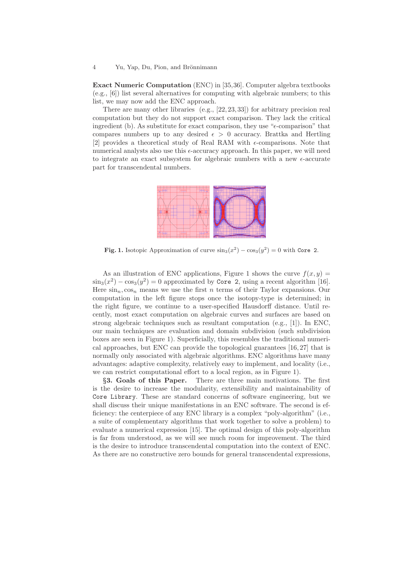Exact Numeric Computation (ENC) in [35,36]. Computer algebra textbooks (e.g., [6]) list several alternatives for computing with algebraic numbers; to this list, we may now add the ENC approach.

There are many other libraries (e.g., [22,23,33]) for arbitrary precision real computation but they do not support exact comparison. They lack the critical ingredient (b). As substitute for exact comparison, they use " $\epsilon$ -comparison" that compares numbers up to any desired  $\epsilon > 0$  accuracy. Brattka and Hertling [2] provides a theoretical study of Real RAM with  $\epsilon$ -comparisons. Note that numerical analysts also use this  $\epsilon$ -accuracy approach. In this paper, we will need to integrate an exact subsystem for algebraic numbers with a new  $\epsilon$ -accurate part for transcendental numbers.



**Fig. 1.** Isotopic Approximation of curve  $\sin_3(x^2) - \cos_3(y^2) = 0$  with Core 2.

As an illustration of ENC applications, Figure 1 shows the curve  $f(x, y) =$  $\sin_3(x^2) - \cos_3(y^2) = 0$  approximated by Core 2, using a recent algorithm [16]. Here  $\sin_n \cos_n$  means we use the first *n* terms of their Taylor expansions. Our computation in the left figure stops once the isotopy-type is determined; in the right figure, we continue to a user-specified Hausdorff distance. Until recently, most exact computation on algebraic curves and surfaces are based on strong algebraic techniques such as resultant computation (e.g., [1]). In ENC, our main techniques are evaluation and domain subdivision (such subdivision boxes are seen in Figure 1). Superficially, this resembles the traditional numerical approaches, but ENC can provide the topological guarantees [16,27] that is normally only associated with algebraic algorithms. ENC algorithms have many advantages: adaptive complexity, relatively easy to implement, and locality (i.e., we can restrict computational effort to a local region, as in Figure 1).

§3. Goals of this Paper. There are three main motivations. The first is the desire to increase the modularity, extensibility and maintainability of Core Library. These are standard concerns of software engineering, but we shall discuss their unique manifestations in an ENC software. The second is efficiency: the centerpiece of any ENC library is a complex "poly-algorithm" (i.e., a suite of complementary algorithms that work together to solve a problem) to evaluate a numerical expression [15]. The optimal design of this poly-algorithm is far from understood, as we will see much room for improvement. The third is the desire to introduce transcendental computation into the context of ENC. As there are no constructive zero bounds for general transcendental expressions,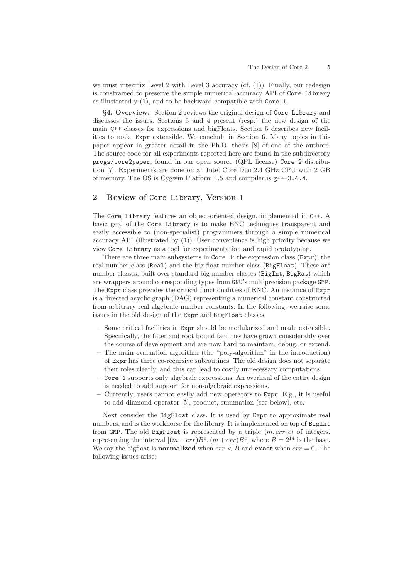we must intermix Level 2 with Level 3 accuracy  $(cf. (1))$ . Finally, our redesign is constrained to preserve the simple numerical accuracy API of Core Library as illustrated y (1), and to be backward compatible with Core 1.

§4. Overview. Section 2 reviews the original design of Core Library and discusses the issues. Sections 3 and 4 present (resp.) the new design of the main C++ classes for expressions and bigFloats. Section 5 describes new facilities to make Expr extensible. We conclude in Section 6. Many topics in this paper appear in greater detail in the Ph.D. thesis [8] of one of the authors. The source code for all experiments reported here are found in the subdirectory progs/core2paper, found in our open source (QPL license) Core 2 distribution [7]. Experiments are done on an Intel Core Duo 2.4 GHz CPU with 2 GB of memory. The OS is Cygwin Platform 1.5 and compiler is g++-3.4.4.

## 2 Review of Core Library, Version 1

The Core Library features an object-oriented design, implemented in C++. A basic goal of the Core Library is to make ENC techniques transparent and easily accessible to (non-specialist) programmers through a simple numerical accuracy API (illustrated by  $(1)$ ). User convenience is high priority because we view Core Library as a tool for experimentation and rapid prototyping.

There are three main subsystems in Core 1: the expression class (Expr), the real number class (Real) and the big float number class (BigFloat). These are number classes, built over standard big number classes (BigInt, BigRat) which are wrappers around corresponding types from GNU's multiprecision package GMP. The Expr class provides the critical functionalities of ENC. An instance of Expr is a directed acyclic graph (DAG) representing a numerical constant constructed from arbitrary real algebraic number constants. In the following, we raise some issues in the old design of the Expr and BigFloat classes.

- Some critical facilities in Expr should be modularized and made extensible. Specifically, the filter and root bound facilities have grown considerably over the course of development and are now hard to maintain, debug, or extend.
- The main evaluation algorithm (the "poly-algorithm" in the introduction) of Expr has three co-recursive subroutines. The old design does not separate their roles clearly, and this can lead to costly unnecessary computations.
- Core 1 supports only algebraic expressions. An overhaul of the entire design is needed to add support for non-algebraic expressions.
- Currently, users cannot easily add new operators to Expr. E.g., it is useful to add diamond operator [5], product, summation (see below), etc.

Next consider the BigFloat class. It is used by Expr to approximate real numbers, and is the workhorse for the library. It is implemented on top of BigInt from GMP. The old BigFloat is represented by a triple  $\langle m, err, e \rangle$  of integers, representing the interval  $[(m - err)B^e, (m + err)B^e]$  where  $B = 2^{14}$  is the base. We say the bigfloat is **normalized** when  $err < B$  and **exact** when  $err = 0$ . The following issues arise: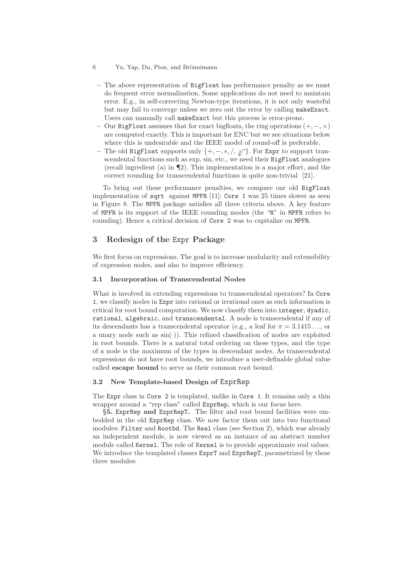- $-$  The above representation of BigFloat has performance penalty as we must do frequent error normalization. Some applications do not need to maintain error. E.g., in self-correcting Newton-type iterations, it is not only wasteful but may fail to converge unless we zero out the error by calling makeExact. Users can manually call makeExact but this process is error-prone.
- Our BigFloat assumes that for exact bigfloats, the ring operations  $(+, -, \times)$ are computed exactly. This is important for ENC but we see situations below where this is undesirable and the IEEE model of round-off is preferable.
- − The old BigFloat supports only  $\{+, -, *, /, \sqrt[2]{},\}$ . For Expr to support transcendental functions such as exp, sin, etc., we need their BigFloat analogues (recall ingredient (a) in ¶2). This implementation is a major effort, and the correct rounding for transcendental functions is quite non-trivial [21].

To bring out these performance penalties, we compare our old BigFloat implementation of sqrt against MPFR [11]: Core 1 was 25 times slower as seen in Figure 8. The MPFR package satisfies all three criteria above. A key feature of MPFR is its support of the IEEE rounding modes (the "R" in MPFR refers to rounding). Hence a critical decision of Core 2 was to capitalize on MPFR.

## 3 Redesign of the Expr Package

We first focus on expressions. The goal is to increase modularity and extensibility of expression nodes, and also to improve efficiency.

#### 3.1 Incorporation of Transcendental Nodes

What is involved in extending expressions to transcendental operators? In Core 1, we classify nodes in Expr into rational or irrational ones as such information is critical for root bound computation. We now classify them into integer, dyadic, rational, algebraic, and transcendental. A node is transcendental if any of its descendants has a transcendental operator (e.g., a leaf for  $\pi = 3.1415...$ , or a unary node such as  $\sin(\cdot)$ . This refined classification of nodes are exploited in root bounds. There is a natural total ordering on these types, and the type of a node is the maximum of the types in descendant nodes. As transcendental expressions do not have root bounds, we introduce a user-definable global value called escape bound to serve as their common root bound.

#### 3.2 New Template-based Design of ExprRep

The Expr class in Core 2 is templated, unlike in Core 1. It remains only a thin wrapper around a "rep class" called ExprRep, which is our focus here.

§5. ExprRep and ExprRepT. The filter and root bound facilities were embedded in the old ExprRep class. We now factor them out into two functional modules: Filter and Rootbd. The Real class (see Section 2), which was already an independent module, is now viewed as an instance of an abstract number module called Kernel. The role of Kernel is to provide approximate real values. We introduce the templated classes ExprT and ExprRepT, parametrized by these three modules:

<sup>6</sup> Yu, Yap, Du, Pion, and Brönnimann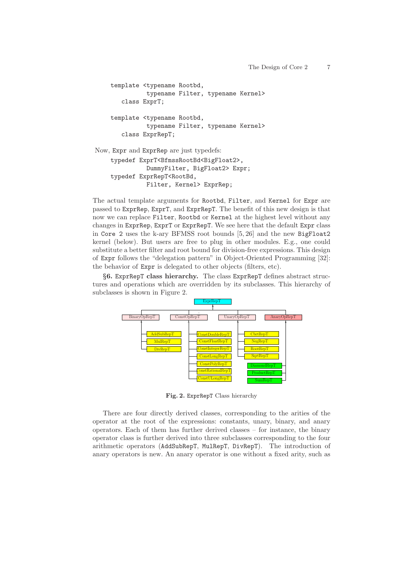```
template <typename Rootbd,
              typename Filter, typename Kernel>
       class ExprT;
    template <typename Rootbd,
               typename Filter, typename Kernel>
       class ExprRepT;
Now, Expr and ExprRep are just typedefs:
    typedef ExprT<BfmssRootBd<BigFloat2>,
              DummyFilter, BigFloat2> Expr;
    typedef ExprRepT<RootBd,
              Filter, Kernel> ExprRep;
```
The actual template arguments for Rootbd, Filter, and Kernel for Expr are passed to ExprRep, ExprT, and ExprRepT. The benefit of this new design is that now we can replace Filter, Rootbd or Kernel at the highest level without any changes in ExprRep, ExprT or ExprRepT. We see here that the default Expr class in Core 2 uses the k-ary BFMSS root bounds [5, 26] and the new BigFloat2 kernel (below). But users are free to plug in other modules. E.g., one could substitute a better filter and root bound for division-free expressions. This design of Expr follows the "delegation pattern" in Object-Oriented Programming [32]: the behavior of Expr is delegated to other objects (filters, etc).

§6. ExprRepT class hierarchy. The class ExprRepT defines abstract structures and operations which are overridden by its subclasses. This hierarchy of subclasses is shown in Figure 2.



Fig. 2. ExprRepT Class hierarchy

There are four directly derived classes, corresponding to the arities of the operator at the root of the expressions: constants, unary, binary, and anary operators. Each of them has further derived classes – for instance, the binary operator class is further derived into three subclasses corresponding to the four arithmetic operators (AddSubRepT, MulRepT, DivRepT). The introduction of anary operators is new. An anary operator is one without a fixed arity, such as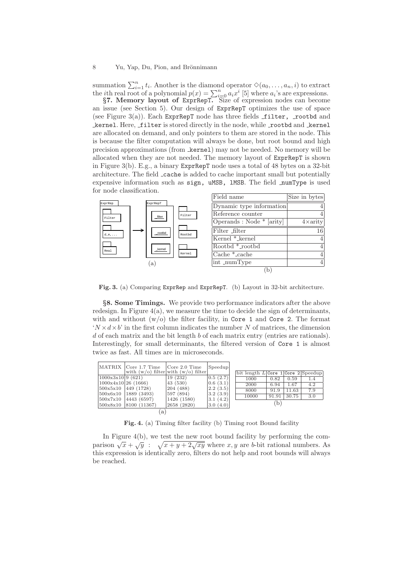summation  $\sum_{i=1}^{n} t_i$ . Another is the diamond operator  $\Diamond(a_0,\ldots,a_n,i)$  to extract the *i*th real root of a polynomial  $p(x) = \sum_{i=0}^{n} a_i x^i$  [5] where  $a_i$ 's are expressions.

§7. Memory layout of ExprRepT. Size of expression nodes can become an issue (see Section 5). Our design of ExprRepT optimizes the use of space (see Figure 3(a)). Each ExprRepT node has three fields  $_$ filter, rootbd and kernel. Here, filter is stored directly in the node, while rootbd and kernel are allocated on demand, and only pointers to them are stored in the node. This is because the filter computation will always be done, but root bound and high precision approximations (from kernel) may not be needed. No memory will be allocated when they are not needed. The memory layout of ExprRepT is shown in Figure 3(b). E.g., a binary ExprRepT node uses a total of 48 bytes on a 32-bit architecture. The field cache is added to cache important small but potentially expensive information such as sign, uMSB, lMSB. The field numType is used for node classification.



Fig. 3. (a) Comparing ExprRep and ExprRepT. (b) Layout in 32-bit architecture.

§8. Some Timings. We provide two performance indicators after the above redesign. In Figure  $4(a)$ , we measure the time to decide the sign of determinants, with and without  $(w/o)$  the filter facility, in Core 1 and Core 2. The format  $\forall N \times d \times b'$  in the first column indicates the number N of matrices, the dimension d of each matrix and the bit length  $b$  of each matrix entry (entries are rationals). Interestingly, for small determinants, the filtered version of Core 1 is almost twice as fast. All times are in microseconds.

|                           | MATRIX Core 1.7 Time Core 2.0 Time   |                                         | Speedup                 |                                      |       |       |     |
|---------------------------|--------------------------------------|-----------------------------------------|-------------------------|--------------------------------------|-------|-------|-----|
|                           |                                      | with $(w/o)$ filter with $(w/o)$ filter |                         | bit length $L$ Core 1 Core 2 Speedup |       |       |     |
| 1000x3x10 9(621)          |                                      | 19 (232)                                | 0.5(2.7)                | 1000                                 | 0.82  | 0.59  | 1.4 |
| 1000x4x10 26(1666)        |                                      | 43 (530)                                | 0.6(3.1)                | 2000                                 | 6.94  | 1.67  | 4.2 |
| $ 500x5x10 $ 449 (1728)   |                                      | $ 204 \ (488)$                          | 2.2(3.5)                | 8000                                 | 91.9  | 11.63 | 7.9 |
|                           | 500x6x10  1889 (3493)<br> 4443(6597) | 597 (894)                               | $ 3.2 \; (3.9) \rangle$ | 10000                                | 91.91 | 30.75 | 3.0 |
| $1500 \times 7 \times 10$ |                                      | 1426(1580)                              | 3.1(4.2)                |                                      | (b)   |       |     |
|                           |                                      |                                         |                         |                                      |       |       |     |
| 500x8x10                  | 8100(11367) <br>a)                   | 2658 (2820)                             | 3.0(4.0)                |                                      |       |       |     |

Fig. 4. (a) Timing filter facility (b) Timing root Bound facility

In Figure 4(b), we test the new root bound facility by performing the comparison  $\overline{\sqrt{x}} + \overline{\sqrt{y}}$ :  $\sqrt{x+y+2\sqrt{xy}}$  where  $x, y$  are b-bit rational numbers. As this expression is identically zero, filters do not help and root bounds will always be reached.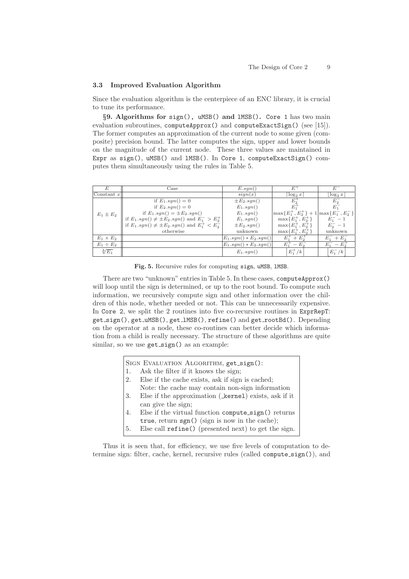#### 3.3 Improved Evaluation Algorithm

Since the evaluation algorithm is the centerpiece of an ENC library, it is crucial to tune its performance.

§9. Algorithms for sign(), uMSB() and 1MSB(). Core 1 has two main evaluation subroutines, computeApprox() and computeExactSign() (see [15]). The former computes an approximation of the current node to some given (composite) precision bound. The latter computes the sign, upper and lower bounds on the magnitude of the current node. These three values are maintained in Expr as sign(), uMSB() and lMSB(). In Core 1, computeExactSign() computes them simultaneously using the rules in Table 5.

| E                | Case                                                        | $E.\mathfrak{sgn}()$    | $E^+$                                                 | $E^-$                       |
|------------------|-------------------------------------------------------------|-------------------------|-------------------------------------------------------|-----------------------------|
| Constant $x$     |                                                             | sign(x)                 | $log_2 x$                                             | $\log_2 x$                  |
|                  | if $E_1$ .sqn() = 0                                         | $\pm E_2 \, sgn()$      | $E_{\circ}^{+}$                                       | $E_2^-$                     |
|                  | if $E_2 \, sgn() = 0$                                       | $E_1 \, sgn()$          |                                                       |                             |
| $E_1 \pm E_2$    | if $E_1 \, sgn() = \pm E_2 \, sgn()$                        | $E_1 \, sgn()$          | $\max\{E_1^+, E_2^+\} + 1 \big  \max\{E_1^-, E_2^-\}$ |                             |
|                  | if $E_1 \, sgn() \neq \pm E_2 \, sgn()$ and $E_1^- > E_2^+$ | $E_1 \, sgn()$          | $\max\{E_1^+, E_2^+\}\$                               | $E_1^-$ - 1                 |
|                  | if $E_1 \, sgn() \neq \pm E_2 \, sgn()$ and $E_1^+ < E_2^-$ | $\pm E_2 \, sgn()$      | $\max\{E_1^+, E_2^+\}$                                | $E_2^-$ - 1                 |
|                  | otherwise                                                   | unknown                 | $\max\{E_1^+, E_2^+\}$                                | unknown                     |
| $E_1 \times E_2$ |                                                             | $E_1.sgn() * E_2.sgn()$ | $E_1^+$<br>$+ E_2^+$                                  | $+E_{2}^{-}$<br>$E_{\perp}$ |
| $E_1 \div E_2$   |                                                             | $E_1.sgn() * E_2.sgn()$ | $E^+$<br>$-E_{\rm o}$                                 | $-E_{\rm o}^+$              |
| $\sqrt[k]{E_1}$  |                                                             | $E_1 \, sgn()$          | $E_1^+/k$                                             | $E_1^-/k$                   |

Fig. 5. Recursive rules for computing sign, uMSB, lMSB.

There are two "unknown" entries in Table 5. In these cases, computeApprox() will loop until the sign is determined, or up to the root bound. To compute such information, we recursively compute sign and other information over the children of this node, whether needed or not. This can be unnecessarily expensive. In Core 2, we split the 2 routines into five co-recursive routines in ExprRepT: get sign(), get uMSB(), get lMSB(), refine() and get rootBd(). Depending on the operator at a node, these co-routines can better decide which information from a child is really necessary. The structure of these algorithms are quite similar, so we use  $get\_sign()$  as an example:

|    | SIGN EVALUATION ALGORITHM, get_sign():                |  |  |  |  |
|----|-------------------------------------------------------|--|--|--|--|
| 1. | Ask the filter if it knows the sign;                  |  |  |  |  |
| 2. | Else if the cache exists, ask if sign is cached;      |  |  |  |  |
|    | Note: the cache may contain non-sign information      |  |  |  |  |
| 3. | Else if the approximation (_kernel) exists, ask if it |  |  |  |  |
|    | can give the sign;                                    |  |  |  |  |
| 4. | Else if the virtual function compute_sign() returns   |  |  |  |  |
|    | true, return sgn() (sign is now in the cache);        |  |  |  |  |
| 5. | Else call refine() (presented next) to get the sign.  |  |  |  |  |
|    |                                                       |  |  |  |  |

Thus it is seen that, for efficiency, we use five levels of computation to determine sign: filter, cache, kernel, recursive rules (called compute sign()), and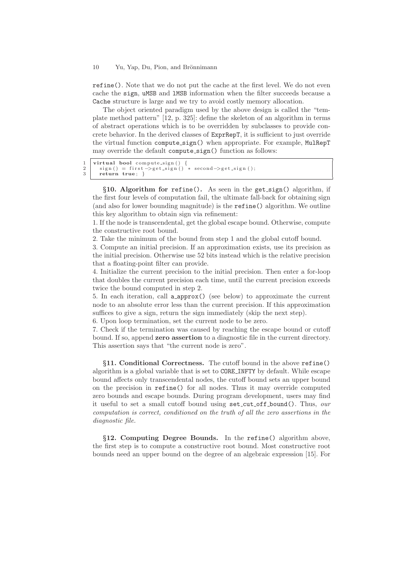refine(). Note that we do not put the cache at the first level. We do not even cache the sign, uMSB and lMSB information when the filter succeeds because a Cache structure is large and we try to avoid costly memory allocation.

The object oriented paradigm used by the above design is called the "template method pattern" [12, p. 325]: define the skeleton of an algorithm in terms of abstract operations which is to be overridden by subclasses to provide concrete behavior. In the derived classes of ExprRepT, it is sufficient to just override the virtual function compute sign() when appropriate. For example, MulRepT may override the default compute sign() function as follows:

| 1   virtual bool compute_sign() {                                        |  |
|--------------------------------------------------------------------------|--|
| 2   $sign() = first -\text{set\_sign() } * second - \text{set\_sign()};$ |  |
| $3 \vert$ return true; }                                                 |  |

§10. Algorithm for refine(). As seen in the get\_sign() algorithm, if the first four levels of computation fail, the ultimate fall-back for obtaining sign (and also for lower bounding magnitude) is the refine() algorithm. We outline this key algorithm to obtain sign via refinement:

1. If the node is transcendental, get the global escape bound. Otherwise, compute the constructive root bound.

2. Take the minimum of the bound from step 1 and the global cutoff bound.

3. Compute an initial precision. If an approximation exists, use its precision as the initial precision. Otherwise use 52 bits instead which is the relative precision that a floating-point filter can provide.

4. Initialize the current precision to the initial precision. Then enter a for-loop that doubles the current precision each time, until the current precision exceeds twice the bound computed in step 2.

5. In each iteration, call a approx() (see below) to approximate the current node to an absolute error less than the current precision. If this approximation suffices to give a sign, return the sign immediately (skip the next step).

6. Upon loop termination, set the current node to be zero.

7. Check if the termination was caused by reaching the escape bound or cutoff bound. If so, append **zero assertion** to a diagnostic file in the current directory. This assertion says that "the current node is zero".

§11. Conditional Correctness. The cutoff bound in the above refine() algorithm is a global variable that is set to CORE INFTY by default. While escape bound affects only transcendental nodes, the cutoff bound sets an upper bound on the precision in refine() for all nodes. Thus it may override computed zero bounds and escape bounds. During program development, users may find it useful to set a small cutoff bound using set\_cut\_off\_bound(). Thus, our computation is correct, conditioned on the truth of all the zero assertions in the diagnostic file.

§12. Computing Degree Bounds. In the refine() algorithm above, the first step is to compute a constructive root bound. Most constructive root bounds need an upper bound on the degree of an algebraic expression [15]. For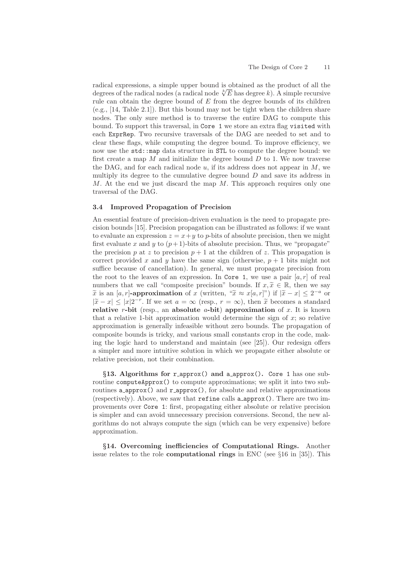radical expressions, a simple upper bound is obtained as the product of all the degrees of the radical nodes (a radical node  $\sqrt[k]{E}$  has degree k). A simple recursive rule can obtain the degree bound of  $E$  from the degree bounds of its children (e.g., [14, Table 2.1]). But this bound may not be tight when the children share nodes. The only sure method is to traverse the entire DAG to compute this bound. To support this traversal, in Core 1 we store an extra flag visited with each ExprRep. Two recursive traversals of the DAG are needed to set and to clear these flags, while computing the degree bound. To improve efficiency, we now use the std::map data structure in STL to compute the degree bound: we first create a map  $M$  and initialize the degree bound  $D$  to 1. We now traverse the DAG, and for each radical node  $u$ , if its address does not appear in  $M$ , we multiply its degree to the cumulative degree bound  $D$  and save its address in  $M$ . At the end we just discard the map  $M$ . This approach requires only one traversal of the DAG.

#### 3.4 Improved Propagation of Precision

An essential feature of precision-driven evaluation is the need to propagate precision bounds [15]. Precision propagation can be illustrated as follows: if we want to evaluate an expression  $z = x + y$  to p-bits of absolute precision, then we might first evaluate x and y to  $(p+1)$ -bits of absolute precision. Thus, we "propagate" the precision p at z to precision  $p + 1$  at the children of z. This propagation is correct provided x and y have the same sign (otherwise,  $p + 1$  bits might not suffice because of cancellation). In general, we must propagate precision from the root to the leaves of an expression. In Core 1, we use a pair  $[a, r]$  of real numbers that we call "composite precision" bounds. If  $x, \tilde{x} \in \mathbb{R}$ , then we say  $\widetilde{x}$  is an [a,r]-**approximation** of x (written, " $\widetilde{x} \approx x[a, r]^n$ ) if  $|\widetilde{x} - x| \leq 2^{-a}$  or  $|\tilde{x} - x| \le |x| 2^{-r}$ . If we set  $a = \infty$  (resp.,  $r = \infty$ ), then  $\tilde{x}$  becomes a standard relative r-bit (resp., an absolute a-bit) approximation of x. It is known that a relative 1-bit approximation would determine the sign of  $x$ ; so relative approximation is generally infeasible without zero bounds. The propagation of composite bounds is tricky, and various small constants crop in the code, making the logic hard to understand and maintain (see [25]). Our redesign offers a simpler and more intuitive solution in which we propagate either absolute or relative precision, not their combination.

§13. Algorithms for r approx() and a approx(). Core 1 has one subroutine computeApprox() to compute approximations; we split it into two subroutines  $a$ -approx() and  $r$ -approx(), for absolute and relative approximations (respectively). Above, we saw that refine calls a approx(). There are two improvements over Core 1: first, propagating either absolute or relative precision is simpler and can avoid unnecessary precision conversions. Second, the new algorithms do not always compute the sign (which can be very expensive) before approximation.

§14. Overcoming inefficiencies of Computational Rings. Another issue relates to the role computational rings in ENC (see §16 in [35]). This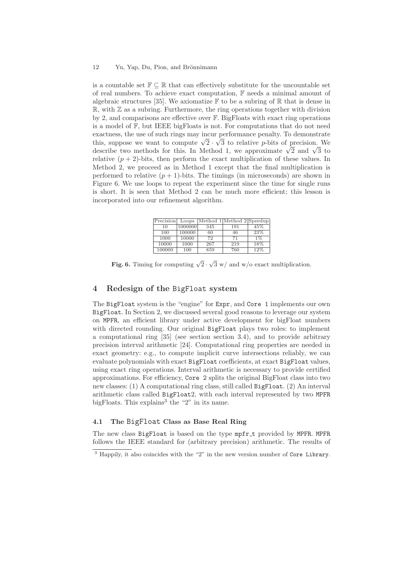is a countable set  $\mathbb{F} \subseteq \mathbb{R}$  that can effectively substitute for the uncountable set of real numbers. To achieve exact computation, F needs a minimal amount of algebraic structures [35]. We axiomatize  $\mathbb F$  to be a subring of  $\mathbb R$  that is dense in  $\mathbb{R}$ , with  $\mathbb{Z}$  as a subring. Furthermore, the ring operations together with division by 2, and comparisons are effective over F. BigFloats with exact ring operations is a model of F, but IEEE bigFloats is not. For computations that do not need exactness, the use of such rings may incur performance penalty. To demonstrate this, suppose we want to compute  $\sqrt{2} \cdot \sqrt{3}$  to relative p-bits of precision. We describe two methods for this. In Method 1, we approximate  $\sqrt{2}$  and  $\sqrt{3}$  to relative  $(p + 2)$ -bits, then perform the exact multiplication of these values. In Method 2, we proceed as in Method 1 except that the final multiplication is performed to relative  $(p + 1)$ -bits. The timings (in microseconds) are shown in Figure 6. We use loops to repeat the experiment since the time for single runs is short. It is seen that Method 2 can be much more efficient; this lesson is incorporated into our refinement algorithm.

| Precision | Loops   | Method 1 Method 2 Speedup |     |       |
|-----------|---------|---------------------------|-----|-------|
| 10        | 1000000 | 345                       | 191 | 45%   |
| 100       | 100000  | 60                        | 46  | 23%   |
| 1000      | 10000   | 72                        | 71  | $1\%$ |
| 10000     | 1000    | 267                       | 219 | 18%   |
| 100000    | 100     | 859                       | 760 | 12%   |

**Fig. 6.** Timing for computing  $\sqrt{2} \cdot \sqrt{3}$  w/ and w/o exact multiplication.

#### 4 Redesign of the BigFloat system

The BigFloat system is the "engine" for Expr, and Core 1 implements our own BigFloat. In Section 2, we discussed several good reasons to leverage our system on MPFR, an efficient library under active development for bigFloat numbers with directed rounding. Our original BigFloat plays two roles: to implement a computational ring [35] (see section section 3.4), and to provide arbitrary precision interval arithmetic [24]. Computational ring properties are needed in exact geometry: e.g., to compute implicit curve intersections reliably, we can evaluate polynomials with exact BigFloat coefficients, at exact BigFloat values, using exact ring operations. Interval arithmetic is necessary to provide certified approximations. For efficiency, Core 2 splits the original BigFloat class into two new classes: (1) A computational ring class, still called BigFloat. (2) An interval arithmetic class called BigFloat2, with each interval represented by two MPFR bigFloats. This explains<sup>3</sup> the "2" in its name.

#### 4.1 The BigFloat Class as Base Real Ring

The new class BigFloat is based on the type mpfr\_t provided by MPFR. MPFR follows the IEEE standard for (arbitrary precision) arithmetic. The results of

<sup>3</sup> Happily, it also coincides with the "2" in the new version number of Core Library.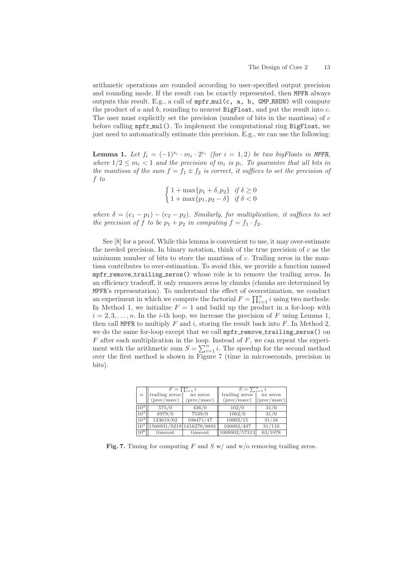arithmetic operations are rounded according to user-specified output precision and rounding mode. If the result can be exactly represented, then MPFR always outputs this result. E.g., a call of mpfr\_mul(c, a, b, GMP\_RNDN) will compute the product of  $a$  and  $b$ , rounding to nearest  $Big$   $Big$   $Big$   $E$   $Big$   $Big$   $Big$ , and put the result into  $c$ . The user must explicitly set the precision (number of bits in the mantissa) of  $c$ before calling  $mpr_mul()$ . To implement the computational ring BigFloat, we just need to automatically estimate this precision. E.g., we can use the following:

**Lemma 1.** Let  $f_i = (-1)^{s_i} \cdot m_i \cdot 2^{e_i}$  (for  $i = 1, 2$ ) be two bigFloats in MPFR, where  $1/2 \le m_i < 1$  and the precision of  $m_i$  is  $p_i$ . To guarantee that all bits in the mantissa of the sum  $f = f_1 \pm f_2$  is correct, it suffices to set the precision of f to

$$
\begin{cases} 1 + \max\{p_1 + \delta, p_2\} & \text{if } \delta \ge 0\\ 1 + \max\{p_1, p_2 - \delta\} & \text{if } \delta < 0 \end{cases}
$$

where  $\delta = (e_1 - p_1) - (e_2 - p_2)$ . Similarly, for multiplication, it suffices to set the precision of f to be  $p_1 + p_2$  in computing  $f = f_1 \cdot f_2$ .

See [8] for a proof. While this lemma is convenient to use, it may over-estimate the needed precision. In binary notation, think of the true precision of  $c$  as the minimum number of bits to store the mantissa of c. Trailing zeros in the mantissa contributes to over-estimation. To avoid this, we provide a function named mpfr remove trailing zeros() whose role is to remove the trailing zeros. In an efficiency tradeoff, it only removes zeros by chunks (chunks are determined by MPFR's representation). To understand the effect of overestimation, we conduct an experiment in which we compute the factorial  $F = \prod_{i=1}^{n} i$  using two methods: In Method 1, we initialize  $F = 1$  and build up the product in a for-loop with  $i = 2, 3, \ldots, n$ . In the *i*-th loop, we increase the precision of F using Lemma 1, then call MPFR to multiply F and i, storing the result back into F. In Method 2, we do the same for-loop except that we call mpfr\_remove\_trailing\_zeros() on  $F$  after each multiplication in the loop. Instead of  $F$ , we can repeat the experiment with the arithmetic sum  $S = \sum_{i=1}^{n} i$ . The speedup for the second method over the first method is shown in Figure 7 (time in microseconds, precision in bits).

|                      | $F = \prod_{i=1}^n i$     |                      | $S=\sum_{i=1}^n i$   |                      |  |
|----------------------|---------------------------|----------------------|----------------------|----------------------|--|
| $\boldsymbol{n}$     | trailing zeros            | no zeros             | trailing zeros       | no zeros             |  |
|                      | $(\text{prec/msec})$      | $(\text{prec/msec})$ | $(\text{prec/msec})$ | $(\text{prec/msec})$ |  |
| $\cdot 10^{2}$       | 575/0                     | 436/0                | 102/0                | 31/0                 |  |
| $\lceil 10^3 \rceil$ | 8979/0                    | 7539/0               | 1002/0               | 31/0                 |  |
| $ 10^4 $             | 123619/62                 | 108471/47            | 10002/15             | 31/16                |  |
| 10 <sup>5</sup>      | 1568931/9219 1416270/8891 |                      | 100002/437           | 31/110               |  |
| 10 <sup>6</sup>      | timeout                   | timeout              | 1000002/57313        | 63/1078              |  |

Fig. 7. Timing for computing F and S  $\le \theta$  and  $\le \theta$  removing trailing zeros.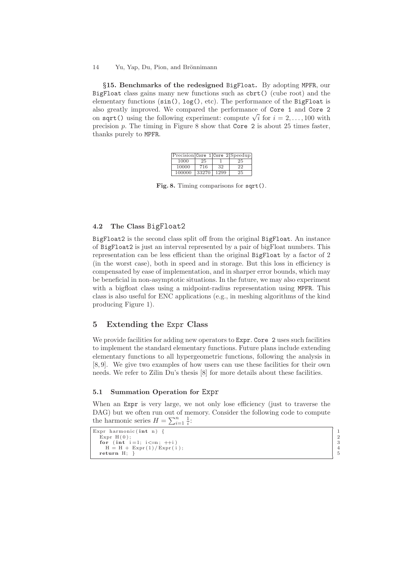§15. Benchmarks of the redesigned BigFloat. By adopting MPFR, our BigFloat class gains many new functions such as cbrt() (cube root) and the elementary functions (sin(), log(), etc). The performance of the BigFloat is also greatly improved. We compared the performance of Core 1 and Core 2 on sqrt() using the following experiment: compute  $\sqrt{i}$  for  $i = 2, ..., 100$  with precision p. The timing in Figure 8 show that Core 2 is about 25 times faster, thanks purely to MPFR.

| Precision Core 1 Core 2 Speedup |       |      |    |
|---------------------------------|-------|------|----|
| 1000                            | 25    |      | 25 |
| 10000                           | 716   | 32   | 22 |
| 100000                          | 33270 | 1299 | 25 |

Fig. 8. Timing comparisons for sqrt().

#### 4.2 The Class BigFloat2

BigFloat2 is the second class split off from the original BigFloat. An instance of BigFloat2 is just an interval represented by a pair of bigFloat numbers. This representation can be less efficient than the original BigFloat by a factor of 2 (in the worst case), both in speed and in storage. But this loss in efficiency is compensated by ease of implementation, and in sharper error bounds, which may be beneficial in non-asymptotic situations. In the future, we may also experiment with a bigfloat class using a midpoint-radius representation using MPFR. This class is also useful for ENC applications (e.g., in meshing algorithms of the kind producing Figure 1).

## 5 Extending the Expr Class

We provide facilities for adding new operators to Expr. Core 2 uses such facilities to implement the standard elementary functions. Future plans include extending elementary functions to all hypergeometric functions, following the analysis in [8,9]. We give two examples of how users can use these facilities for their own needs. We refer to Zilin Du's thesis [8] for more details about these facilities.

#### 5.1 Summation Operation for Expr

When an Expr is very large, we not only lose efficiency (just to traverse the DAG) but we often run out of memory. Consider the following code to compute the harmonic series  $H = \sum_{i=1}^{n} \frac{1}{i}$ :

```
Expr harmonic (int n) {<br>Expr H(0);<br>for (int i=1; i<=n; ++i) <br>3
 Expr H(0);<br>
for (int i=1; i<=n; ++i) 3H = H + \text{Expr}(1) / \text{Expr}(1);<br>
\text{turn H}; }
 return H; }
```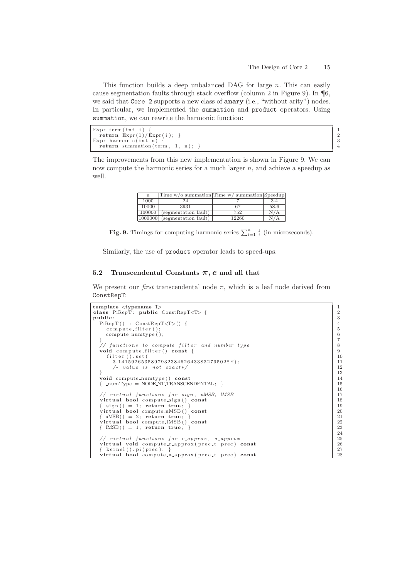This function builds a deep unbalanced DAG for large  $n$ . This can easily cause segmentation faults through stack overflow (column 2 in Figure 9). In ¶6, we said that Core 2 supports a new class of anary (i.e., "without arity") nodes. In particular, we implemented the summation and product operators. Using summation, we can rewrite the harmonic function:

```
Expr term (int i) { 1<br>
return Expr(1)/Expr(i); } 2Expr harmonic \begin{pmatrix} \text{int } n \\ \text{return } sum \text{min} \end{pmatrix} { \begin{pmatrix} 3 \\ 4 \end{pmatrix} }
  return summation (\text{term}, 1, n);
```
The improvements from this new implementation is shown in Figure 9. We can now compute the harmonic series for a much larger n, and achieve a speedup as well.

| n       | Time $w/\text{o}$ summation Time $w/$ | summation Speedup |            |
|---------|---------------------------------------|-------------------|------------|
| 1000    | 24                                    |                   | 3.4        |
| 10000   | 3931                                  | 67                | 58.6       |
| 100000  | (segmentation fault)                  | 752               | $\sqrt{A}$ |
| 1000000 | (segmentation fault)                  | 12260             |            |

**Fig. 9.** Timings for computing harmonic series  $\sum_{i=1}^{n} \frac{1}{i}$  (in microseconds).

Similarly, the use of product operator leads to speed-ups.

#### 5.2 Transcendental Constants  $\pi$ , e and all that

We present our *first* transcendental node  $\pi$ , which is a leaf node derived from ConstRepT:

```
template <typename T><br>
class PiRepT: public ConstRepT<T> {
class PiRepT: public ConstRepT<T> { 2 \text{ public} }
\mathbf{public:} \qquad \qquad \begin{array}{c} \begin{array}{c} \end{array} \end{array}PiRepT() : ConstRepT<T>() {<br>
compute_filter ();<br>
compute_numtype ();<br>
\begin{array}{c} 4 \\ 5 \\ 6 \\ 6 \end{array}<br>
// functions to compute filter and number type<br>
8
    compute_filter()compute_numtype();
  }<br>// functions to compute filter and number type \begin{array}{|c|c|c|c|}\hline 7& & 8& \hline \end{array}void compute filter \begin{pmatrix} 1 & 0 \\ 0 & 0 \end{pmatrix} const \begin{pmatrix} 0 & 0 \\ 0 & 1 \end{pmatrix}filter (). set (3.1415926535897932384626433832795028F); 11
       /∗ v a l u e i s not e x a c t ∗/ 12
  } 13
void compute numtype ( ) const 14
  { numType = NODE NT TRANSCENDENTAL ; } 15
                                                                                         \begin{array}{c} 16 \\ 17 \\ 18 \end{array}\begin{array}{ll} \text{virtual functions for sign, uMSB, lMSB} \\ \text{virtual bool computes sign()} \text{const} \\ \{\text{sign() = 1; return true;} } \end{array}{ sign () = 1; return true; }<br>
virtual bool compute_uMSB() const \{ uMSB() = 2; return true; }<br>
21
  { uMSB() = 2; return true; } 21<br>
virtual bool compute_lMSB() const 22
  {\bf virtual\,\,\,bool\,\,\,compute\_IMSB() \,\,\,const}
{ \, lMSB() = 1; return true; } 23
                                                                                         \frac{24}{25}// virtual functions for r_approx, a_approx<br>
virtual void compute_r_approx(prec_t prec) const 26
  { kernel().pi(prec); }<br>
virtual bool compute_a_approx(prec_t prec) const 28
```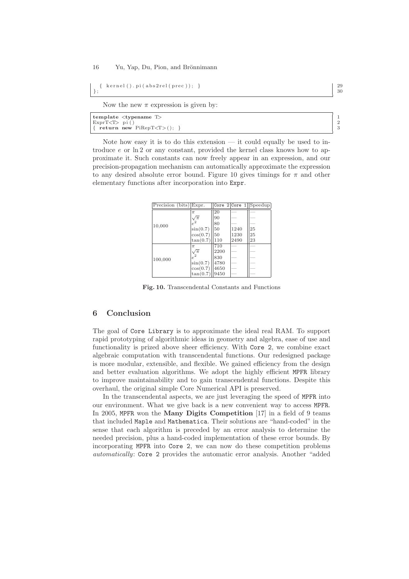```
{ k e r n e l ( ) . p i ( a b s 2 r e l ( p r e c ) ) ; } 29
\}; 30
```
Now the new  $\pi$  expression is given by:

| template $\langle$ typename $\mathbb{T}$    |          |
|---------------------------------------------|----------|
| $\text{ExprT}\langle \text{T} \rangle$ pi() | $\Omega$ |
| $\{$ return new PiRepT $(T>())$ ; }         | Ő        |

Note how easy it is to do this extension  $-$  it could equally be used to introduce e or ln 2 or any constant, provided the kernel class knows how to approximate it. Such constants can now freely appear in an expression, and our precision-propagation mechanism can automatically approximate the expression to any desired absolute error bound. Figure 10 gives timings for  $\pi$  and other elementary functions after incorporation into Expr.

| $\overline{\text{Precision}}$ (bits) $\vert \text{Expr.} \vert$ |             |      |      | Core 2 Core 1   Speedup |
|-----------------------------------------------------------------|-------------|------|------|-------------------------|
|                                                                 | $\pi$       | 20   |      |                         |
|                                                                 |             | 90   |      |                         |
| 10,000                                                          | $\cdot e^2$ | 80   |      |                         |
|                                                                 | sin(0.7)    | 50   | 1240 | 25                      |
|                                                                 | cos(0.7)    | 50   | 1230 | 25                      |
|                                                                 | tan(0.7)    | 110  | 2490 | 23                      |
|                                                                 | $\pi$       | 710  |      |                         |
|                                                                 | $\pi$       | 2200 |      |                         |
| 100,000                                                         | $e^2$       | 830  |      |                         |
|                                                                 | sin(0.7)    | 4780 |      |                         |
|                                                                 | cos(0.7)    | 4650 |      |                         |
|                                                                 | tan(0.7)    | 9450 |      |                         |

Fig. 10. Transcendental Constants and Functions

# 6 Conclusion

The goal of Core Library is to approximate the ideal real RAM. To support rapid prototyping of algorithmic ideas in geometry and algebra, ease of use and functionality is prized above sheer efficiency. With Core 2, we combine exact algebraic computation with transcendental functions. Our redesigned package is more modular, extensible, and flexible. We gained efficiency from the design and better evaluation algorithms. We adopt the highly efficient MPFR library to improve maintainability and to gain transcendental functions. Despite this overhaul, the original simple Core Numerical API is preserved.

In the transcendental aspects, we are just leveraging the speed of MPFR into our environment. What we give back is a new convenient way to access MPFR. In 2005, MPFR won the Many Digits Competition [17] in a field of 9 teams that included Maple and Mathematica. Their solutions are "hand-coded" in the sense that each algorithm is preceded by an error analysis to determine the needed precision, plus a hand-coded implementation of these error bounds. By incorporating MPFR into Core 2, we can now do these competition problems automatically: Core 2 provides the automatic error analysis. Another "added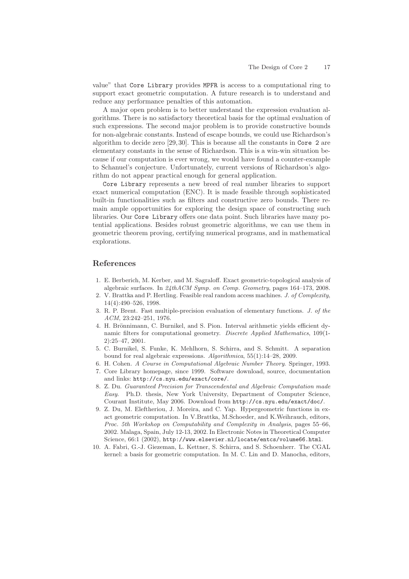value" that Core Library provides MPFR is access to a computational ring to support exact geometric computation. A future research is to understand and reduce any performance penalties of this automation.

A major open problem is to better understand the expression evaluation algorithms. There is no satisfactory theoretical basis for the optimal evaluation of such expressions. The second major problem is to provide constructive bounds for non-algebraic constants. Instead of escape bounds, we could use Richardson's algorithm to decide zero [29,30]. This is because all the constants in Core 2 are elementary constants in the sense of Richardson. This is a win-win situation because if our computation is ever wrong, we would have found a counter-example to Schanuel's conjecture. Unfortunately, current versions of Richardson's algorithm do not appear practical enough for general application.

Core Library represents a new breed of real number libraries to support exact numerical computation (ENC). It is made feasible through sophisticated built-in functionalities such as filters and constructive zero bounds. There remain ample opportunities for exploring the design space of constructing such libraries. Our Core Library offers one data point. Such libraries have many potential applications. Besides robust geometric algorithms, we can use them in geometric theorem proving, certifying numerical programs, and in mathematical explorations.

## References

- 1. E. Berberich, M. Kerber, and M. Sagraloff. Exact geometric-topological analysis of algebraic surfaces. In 24thACM Symp. on Comp. Geometry, pages 164–173, 2008.
- 2. V. Brattka and P. Hertling. Feasible real random access machines. J. of Complexity, 14(4):490–526, 1998.
- 3. R. P. Brent. Fast multiple-precision evaluation of elementary functions. J. of the ACM, 23:242–251, 1976.
- 4. H. Brönnimann, C. Burnikel, and S. Pion. Interval arithmetic yields efficient dynamic filters for computational geometry. Discrete Applied Mathematics, 109(1- 2):25–47, 2001.
- 5. C. Burnikel, S. Funke, K. Mehlhorn, S. Schirra, and S. Schmitt. A separation bound for real algebraic expressions. Algorithmica, 55(1):14–28, 2009.
- 6. H. Cohen. A Course in Computational Algebraic Number Theory. Springer, 1993.
- 7. Core Library homepage, since 1999. Software download, source, documentation and links: http://cs.nyu.edu/exact/core/.
- 8. Z. Du. Guaranteed Precision for Transcendental and Algebraic Computation made Easy. Ph.D. thesis, New York University, Department of Computer Science, Courant Institute, May 2006. Download from http://cs.nyu.edu/exact/doc/.
- 9. Z. Du, M. Eleftheriou, J. Moreira, and C. Yap. Hypergeometric functions in exact geometric computation. In V.Brattka, M.Schoeder, and K.Weihrauch, editors, Proc. 5th Workshop on Computability and Complexity in Analysis, pages 55–66, 2002. Malaga, Spain, July 12-13, 2002. In Electronic Notes in Theoretical Computer Science, 66:1 (2002), http://www.elsevier.nl/locate/entcs/volume66.html.
- 10. A. Fabri, G.-J. Giezeman, L. Kettner, S. Schirra, and S. Schoenherr. The CGAL kernel: a basis for geometric computation. In M. C. Lin and D. Manocha, editors,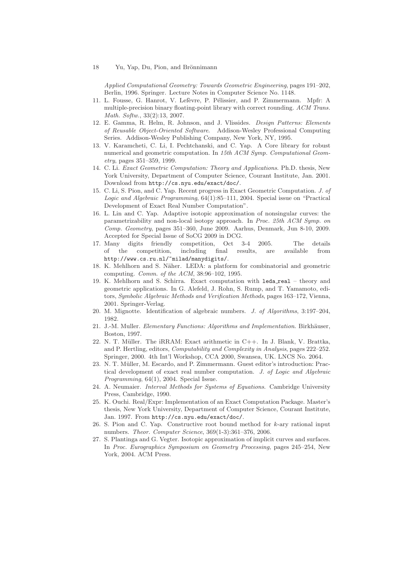Applied Computational Geometry: Towards Geometric Engineering, pages 191–202, Berlin, 1996. Springer. Lecture Notes in Computer Science No. 1148.

- 11. L. Fousse, G. Hanrot, V. Lefèvre, P. Pélissier, and P. Zimmermann. Mpfr: A multiple-precision binary floating-point library with correct rounding. ACM Trans. Math. Softw., 33(2):13, 2007.
- 12. E. Gamma, R. Helm, R. Johnson, and J. Vlissides. Design Patterns: Elements of Reusable Object-Oriented Software. Addison-Wesley Professional Computing Series. Addison-Wesley Publishing Company, New York, NY, 1995.
- 13. V. Karamcheti, C. Li, I. Pechtchanski, and C. Yap. A Core library for robust numerical and geometric computation. In 15th ACM Symp. Computational Geometry, pages 351–359, 1999.
- 14. C. Li. Exact Geometric Computation: Theory and Applications. Ph.D. thesis, New York University, Department of Computer Science, Courant Institute, Jan. 2001. Download from http://cs.nyu.edu/exact/doc/.
- 15. C. Li, S. Pion, and C. Yap. Recent progress in Exact Geometric Computation. J. of Logic and Algebraic Programming, 64(1):85–111, 2004. Special issue on "Practical Development of Exact Real Number Computation".
- 16. L. Lin and C. Yap. Adaptive isotopic approximation of nonsingular curves: the parametrizability and non-local isotopy approach. In Proc. 25th ACM Symp. on Comp. Geometry, pages 351–360, June 2009. Aarhus, Denmark, Jun 8-10, 2009. Accepted for Special Issue of SoCG 2009 in DCG.
- 17. Many digits friendly competition, Oct 3-4 2005. The details of the competition, including final results, are available from http://www.cs.ru.nl/~milad/manydigits/.
- 18. K. Mehlhorn and S. Näher. LEDA: a platform for combinatorial and geometric computing. Comm. of the ACM, 38:96–102, 1995.
- 19. K. Mehlhorn and S. Schirra. Exact computation with leda\_real theory and geometric applications. In G. Alefeld, J. Rohn, S. Rump, and T. Yamamoto, editors, Symbolic Algebraic Methods and Verification Methods, pages 163–172, Vienna, 2001. Springer-Verlag.
- 20. M. Mignotte. Identification of algebraic numbers. J. of Algorithms, 3:197–204, 1982.
- 21. J.-M. Muller. Elementary Functions: Algorithms and Implementation. Birkhäuser, Boston, 1997.
- 22. N. T. Müller. The iRRAM: Exact arithmetic in C++. In J. Blank, V. Brattka, and P. Hertling, editors, Computability and Complexity in Analysis, pages 222–252. Springer, 2000. 4th Int'l Workshop, CCA 2000, Swansea, UK. LNCS No. 2064.
- 23. N. T. M¨uller, M. Escardo, and P. Zimmermann. Guest editor's introduction: Practical development of exact real number computation. J. of Logic and Algebraic Programming, 64(1), 2004. Special Issue.
- 24. A. Neumaier. Interval Methods for Systems of Equations. Cambridge University Press, Cambridge, 1990.
- 25. K. Ouchi. Real/Expr: Implementation of an Exact Computation Package. Master's thesis, New York University, Department of Computer Science, Courant Institute, Jan. 1997. From http://cs.nyu.edu/exact/doc/.
- 26. S. Pion and C. Yap. Constructive root bound method for  $k$ -ary rational input numbers. Theor. Computer Science, 369(1-3):361–376, 2006.
- 27. S. Plantinga and G. Vegter. Isotopic approximation of implicit curves and surfaces. In Proc. Eurographics Symposium on Geometry Processing, pages 245–254, New York, 2004. ACM Press.